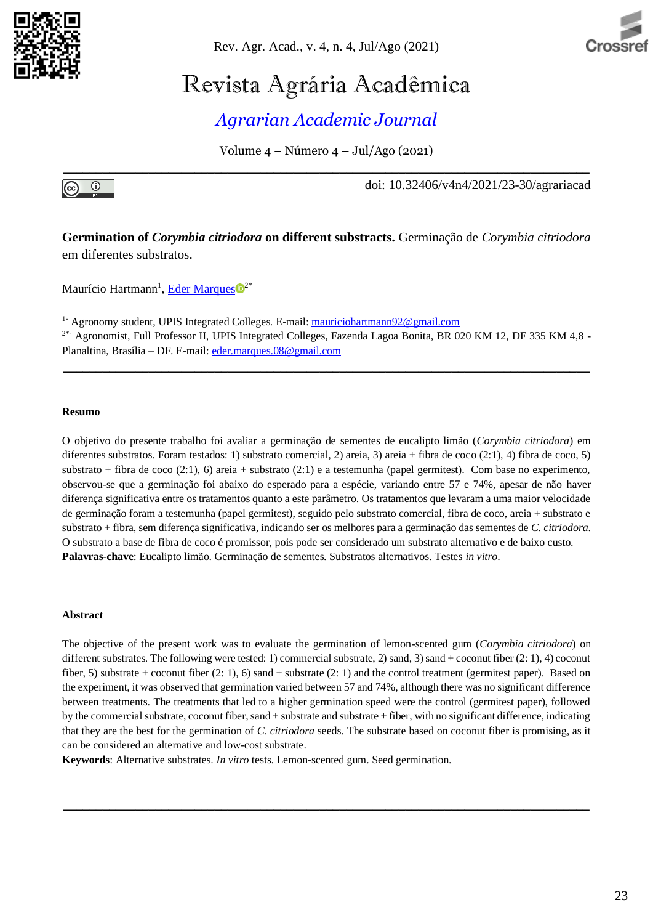

Rev. Agr. Acad., v. 4, n. 4, Jul/Ago (2021)



# Revista Agrária Acadêmica

*[Agrarian Academic Journal](https://agrariacad.wordpress.com/)*

Volume 4 – Número 4 – Jul/Ago (2021) **\_\_\_\_\_\_\_\_\_\_\_\_\_\_\_\_\_\_\_\_\_\_\_\_\_\_\_\_\_\_\_\_\_\_\_\_\_\_\_\_\_\_\_\_\_\_\_\_\_\_\_\_\_\_\_\_\_\_\_\_\_\_\_\_\_\_\_\_\_\_\_\_\_\_\_\_\_\_\_\_**



doi: 10.32406/v4n4/2021/23-30/agrariacad

**Germination of** *Corymbia citriodora* **on different substracts.** Germinação de *Corymbia citriodora* em diferentes substratos.

Maurício Hartmann<sup>1</sup>[, Eder Marques](https://orcid.org/0000-0003-3014-0517)<sup>o<sup>2\*</sup></sup>

<sup>1-</sup> Agronomy student, UPIS Integrated Colleges. E-mail: [mauriciohartmann92@gmail.com](mailto:mauriciohartmann92@gmail.com) <sup>2\*</sup>- Agronomist, Full Professor II, UPIS Integrated Colleges, Fazenda Lagoa Bonita, BR 020 KM 12, DF 335 KM 4,8 -Planaltina, Brasília – DF. E-mail: [eder.marques.08@gmail.com](mailto:eder.marques.08@gmail.com)

**\_\_\_\_\_\_\_\_\_\_\_\_\_\_\_\_\_\_\_\_\_\_\_\_\_\_\_\_\_\_\_\_\_\_\_\_\_\_\_\_\_\_\_\_\_\_\_\_\_\_\_\_\_\_\_\_\_\_\_\_\_\_\_\_\_\_\_\_\_\_\_\_\_\_\_\_\_\_\_\_**

#### **Resumo**

O objetivo do presente trabalho foi avaliar a germinação de sementes de eucalipto limão (*Corymbia citriodora*) em diferentes substratos. Foram testados: 1) substrato comercial, 2) areia, 3) areia + fibra de coco (2:1), 4) fibra de coco, 5) substrato + fibra de coco (2:1), 6) areia + substrato (2:1) e a testemunha (papel germitest). Com base no experimento, observou-se que a germinação foi abaixo do esperado para a espécie, variando entre 57 e 74%, apesar de não haver diferença significativa entre os tratamentos quanto a este parâmetro. Os tratamentos que levaram a uma maior velocidade de germinação foram a testemunha (papel germitest), seguido pelo substrato comercial, fibra de coco, areia + substrato e substrato + fibra, sem diferença significativa, indicando ser os melhores para a germinação das sementes de *C. citriodora*. O substrato a base de fibra de coco é promissor, pois pode ser considerado um substrato alternativo e de baixo custo. **Palavras-chave**: Eucalipto limão. Germinação de sementes. Substratos alternativos. Testes *in vitro*.

#### **Abstract**

The objective of the present work was to evaluate the germination of lemon-scented gum (*Corymbia citriodora*) on different substrates. The following were tested: 1) commercial substrate, 2) sand, 3) sand + coconut fiber (2: 1), 4) coconut fiber, 5) substrate + coconut fiber  $(2: 1)$ , 6) sand + substrate  $(2: 1)$  and the control treatment (germitest paper). Based on the experiment, it was observed that germination varied between 57 and 74%, although there was no significant difference between treatments. The treatments that led to a higher germination speed were the control (germitest paper), followed by the commercial substrate, coconut fiber, sand + substrate and substrate + fiber, with no significant difference, indicating that they are the best for the germination of *C. citriodora* seeds. The substrate based on coconut fiber is promising, as it can be considered an alternative and low-cost substrate.

**\_\_\_\_\_\_\_\_\_\_\_\_\_\_\_\_\_\_\_\_\_\_\_\_\_\_\_\_\_\_\_\_\_\_\_\_\_\_\_\_\_\_\_\_\_\_\_\_\_\_\_\_\_\_\_\_\_\_\_\_\_\_\_\_\_\_\_\_\_\_\_\_\_\_\_\_\_\_\_\_**

**Keywords**: Alternative substrates. *In vitro* tests. Lemon-scented gum. Seed germination.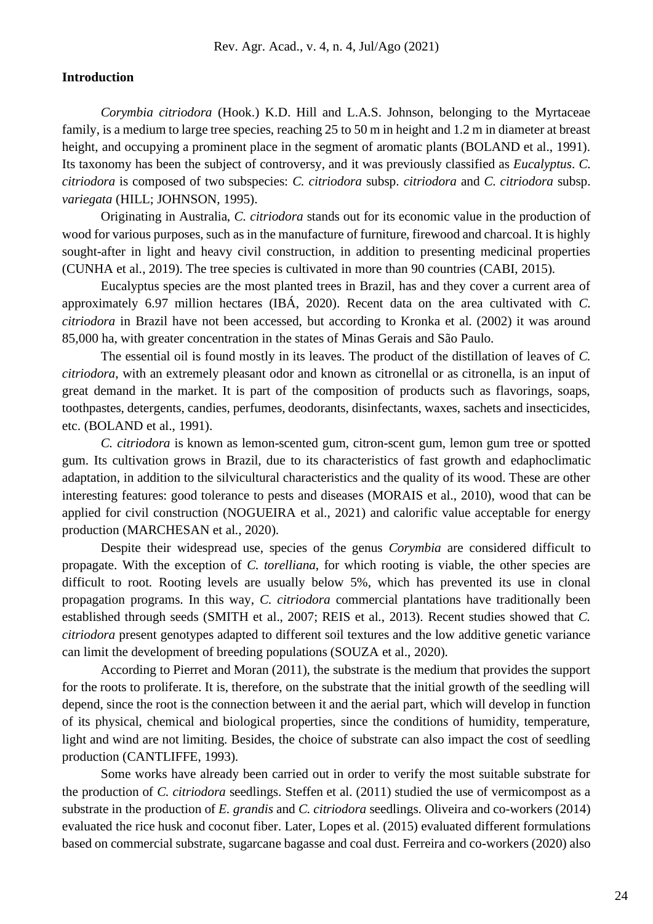#### **Introduction**

*Corymbia citriodora* (Hook.) K.D. Hill and L.A.S. Johnson, belonging to the Myrtaceae family, is a medium to large tree species, reaching 25 to 50 m in height and 1.2 m in diameter at breast height, and occupying a prominent place in the segment of aromatic plants (BOLAND et al., 1991). Its taxonomy has been the subject of controversy, and it was previously classified as *Eucalyptus*. *C. citriodora* is composed of two subspecies: *C. citriodora* subsp. *citriodora* and *C. citriodora* subsp. *variegata* (HILL; JOHNSON, 1995).

Originating in Australia, *C. citriodora* stands out for its economic value in the production of wood for various purposes, such as in the manufacture of furniture, firewood and charcoal. It is highly sought-after in light and heavy civil construction, in addition to presenting medicinal properties (CUNHA et al., 2019). The tree species is cultivated in more than 90 countries (CABI, 2015).

Eucalyptus species are the most planted trees in Brazil, has and they cover a current area of approximately 6.97 million hectares (IBÁ, 2020). Recent data on the area cultivated with *C. citriodora* in Brazil have not been accessed, but according to Kronka et al. (2002) it was around 85,000 ha, with greater concentration in the states of Minas Gerais and São Paulo.

The essential oil is found mostly in its leaves. The product of the distillation of leaves of *C. citriodora*, with an extremely pleasant odor and known as citronellal or as citronella, is an input of great demand in the market. It is part of the composition of products such as flavorings, soaps, toothpastes, detergents, candies, perfumes, deodorants, disinfectants, waxes, sachets and insecticides, etc. (BOLAND et al., 1991).

*C. citriodora* is known as lemon-scented gum, citron-scent gum, lemon gum tree or spotted gum. Its cultivation grows in Brazil, due to its characteristics of fast growth and edaphoclimatic adaptation, in addition to the silvicultural characteristics and the quality of its wood. These are other interesting features: good tolerance to pests and diseases (MORAIS et al., 2010), wood that can be applied for civil construction (NOGUEIRA et al., 2021) and calorific value acceptable for energy production (MARCHESAN et al., 2020).

Despite their widespread use, species of the genus *Corymbia* are considered difficult to propagate. With the exception of *C. torelliana*, for which rooting is viable, the other species are difficult to root. Rooting levels are usually below 5%, which has prevented its use in clonal propagation programs. In this way, *C. citriodora* commercial plantations have traditionally been established through seeds (SMITH et al., 2007; REIS et al., 2013). Recent studies showed that *C. citriodora* present genotypes adapted to different soil textures and the low additive genetic variance can limit the development of breeding populations (SOUZA et al., 2020).

According to Pierret and Moran (2011), the substrate is the medium that provides the support for the roots to proliferate. It is, therefore, on the substrate that the initial growth of the seedling will depend, since the root is the connection between it and the aerial part, which will develop in function of its physical, chemical and biological properties, since the conditions of humidity, temperature, light and wind are not limiting. Besides, the choice of substrate can also impact the cost of seedling production (CANTLIFFE, 1993).

Some works have already been carried out in order to verify the most suitable substrate for the production of *C. citriodora* seedlings. Steffen et al. (2011) studied the use of vermicompost as a substrate in the production of *E. grandis* and *C. citriodora* seedlings. Oliveira and co-workers (2014) evaluated the rice husk and coconut fiber. Later, Lopes et al. (2015) evaluated different formulations based on commercial substrate, sugarcane bagasse and coal dust. Ferreira and co-workers (2020) also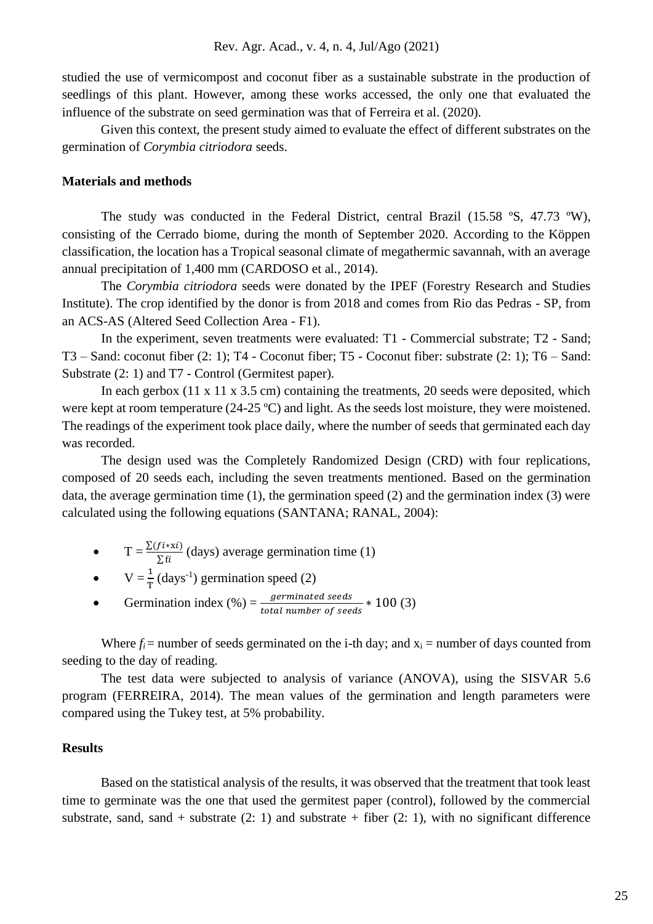studied the use of vermicompost and coconut fiber as a sustainable substrate in the production of seedlings of this plant. However, among these works accessed, the only one that evaluated the influence of the substrate on seed germination was that of Ferreira et al. (2020).

Given this context, the present study aimed to evaluate the effect of different substrates on the germination of *Corymbia citriodora* seeds.

#### **Materials and methods**

The study was conducted in the Federal District, central Brazil (15.58 ºS, 47.73 ºW), consisting of the Cerrado biome, during the month of September 2020. According to the Köppen classification, the location has a Tropical seasonal climate of megathermic savannah, with an average annual precipitation of 1,400 mm (CARDOSO et al., 2014).

The *Corymbia citriodora* seeds were donated by the IPEF (Forestry Research and Studies Institute). The crop identified by the donor is from 2018 and comes from Rio das Pedras - SP, from an ACS-AS (Altered Seed Collection Area - F1).

In the experiment, seven treatments were evaluated: T1 - Commercial substrate; T2 - Sand; T3 – Sand: coconut fiber (2: 1); T4 - Coconut fiber; T5 - Coconut fiber: substrate (2: 1); T6 – Sand: Substrate (2: 1) and T7 - Control (Germitest paper).

In each gerbox  $(11 \times 11 \times 3.5 \text{ cm})$  containing the treatments, 20 seeds were deposited, which were kept at room temperature (24-25 °C) and light. As the seeds lost moisture, they were moistened. The readings of the experiment took place daily, where the number of seeds that germinated each day was recorded.

The design used was the Completely Randomized Design (CRD) with four replications, composed of 20 seeds each, including the seven treatments mentioned. Based on the germination data, the average germination time (1), the germination speed (2) and the germination index (3) were calculated using the following equations (SANTANA; RANAL, 2004):

- $T = \frac{\sum (f i * x i)}{\sum f i}$  (days) average germination time (1)
- $V = \frac{1}{T} (days^{-1})$  germination speed (2)
- Germination index  $(\%) = \frac{germinated \; seeds}{total \; number \; of \; seeds} * 100 \; (3)$

Where  $f_i$  = number of seeds germinated on the i-th day; and  $x_i$  = number of days counted from seeding to the day of reading.

The test data were subjected to analysis of variance (ANOVA), using the SISVAR 5.6 program (FERREIRA, 2014). The mean values of the germination and length parameters were compared using the Tukey test, at 5% probability.

#### **Results**

Based on the statistical analysis of the results, it was observed that the treatment that took least time to germinate was the one that used the germitest paper (control), followed by the commercial substrate, sand, sand + substrate  $(2: 1)$  and substrate + fiber  $(2: 1)$ , with no significant difference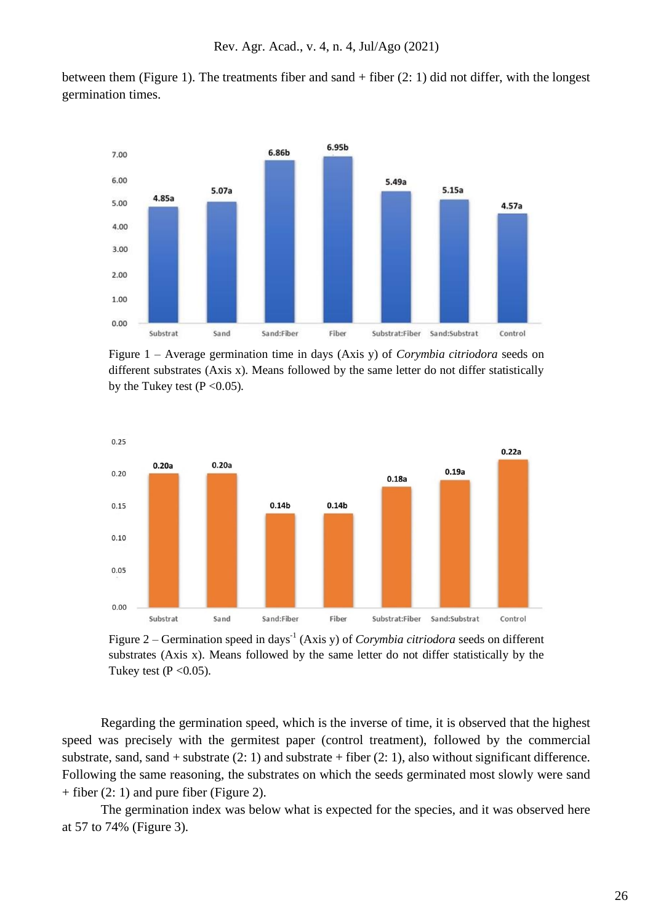between them (Figure 1). The treatments fiber and sand + fiber (2: 1) did not differ, with the longest germination times.



Figure 1 – Average germination time in days (Axis y) of *Corymbia citriodora* seeds on different substrates (Axis x). Means followed by the same letter do not differ statistically by the Tukey test ( $P < 0.05$ ).



Figure 2 – Germination speed in days<sup>-1</sup> (Axis y) of *Corymbia citriodora* seeds on different substrates (Axis x). Means followed by the same letter do not differ statistically by the Tukey test ( $P < 0.05$ ).

Regarding the germination speed, which is the inverse of time, it is observed that the highest speed was precisely with the germitest paper (control treatment), followed by the commercial substrate, sand, sand + substrate  $(2: 1)$  and substrate + fiber  $(2: 1)$ , also without significant difference. Following the same reasoning, the substrates on which the seeds germinated most slowly were sand + fiber (2: 1) and pure fiber (Figure 2).

The germination index was below what is expected for the species, and it was observed here at 57 to 74% (Figure 3).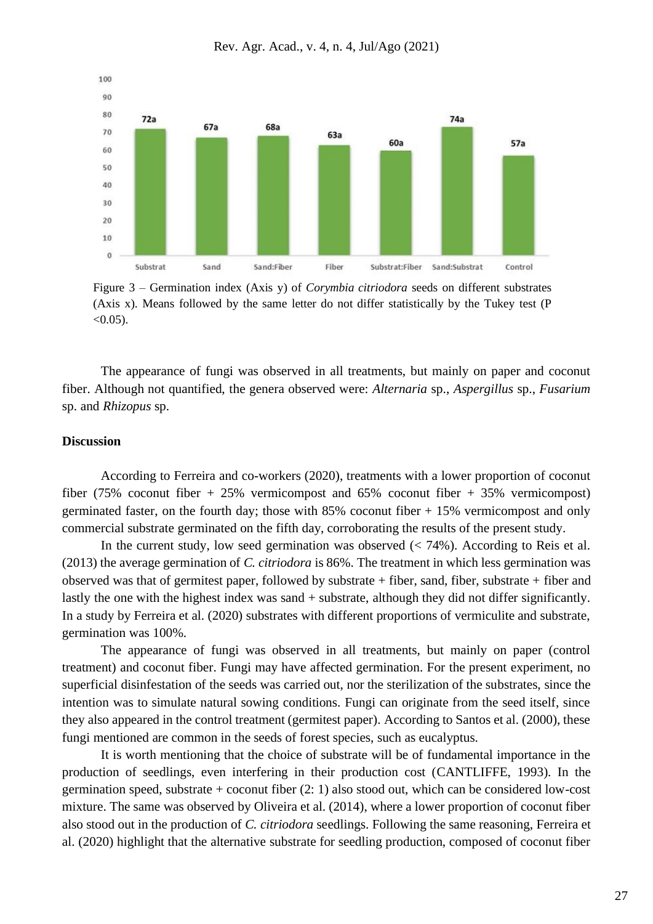

Rev. Agr. Acad., v. 4, n. 4, Jul/Ago (2021)

Figure 3 – Germination index (Axis y) of *Corymbia citriodora* seeds on different substrates (Axis x). Means followed by the same letter do not differ statistically by the Tukey test (P  $< 0.05$ ).

The appearance of fungi was observed in all treatments, but mainly on paper and coconut fiber. Although not quantified, the genera observed were: *Alternaria* sp., *Aspergillus* sp., *Fusarium* sp. and *Rhizopus* sp.

## **Discussion**

According to Ferreira and co-workers (2020), treatments with a lower proportion of coconut fiber (75% coconut fiber + 25% vermicompost and 65% coconut fiber + 35% vermicompost) germinated faster, on the fourth day; those with 85% coconut fiber + 15% vermicompost and only commercial substrate germinated on the fifth day, corroborating the results of the present study.

In the current study, low seed germination was observed  $\langle$  < 74%). According to Reis et al. (2013) the average germination of *C. citriodora* is 86%. The treatment in which less germination was observed was that of germitest paper, followed by substrate + fiber, sand, fiber, substrate + fiber and lastly the one with the highest index was sand + substrate, although they did not differ significantly. In a study by Ferreira et al. (2020) substrates with different proportions of vermiculite and substrate, germination was 100%.

The appearance of fungi was observed in all treatments, but mainly on paper (control treatment) and coconut fiber. Fungi may have affected germination. For the present experiment, no superficial disinfestation of the seeds was carried out, nor the sterilization of the substrates, since the intention was to simulate natural sowing conditions. Fungi can originate from the seed itself, since they also appeared in the control treatment (germitest paper). According to Santos et al. (2000), these fungi mentioned are common in the seeds of forest species, such as eucalyptus.

It is worth mentioning that the choice of substrate will be of fundamental importance in the production of seedlings, even interfering in their production cost (CANTLIFFE, 1993). In the germination speed, substrate + coconut fiber (2: 1) also stood out, which can be considered low-cost mixture. The same was observed by Oliveira et al. (2014), where a lower proportion of coconut fiber also stood out in the production of *C. citriodora* seedlings. Following the same reasoning, Ferreira et al. (2020) highlight that the alternative substrate for seedling production, composed of coconut fiber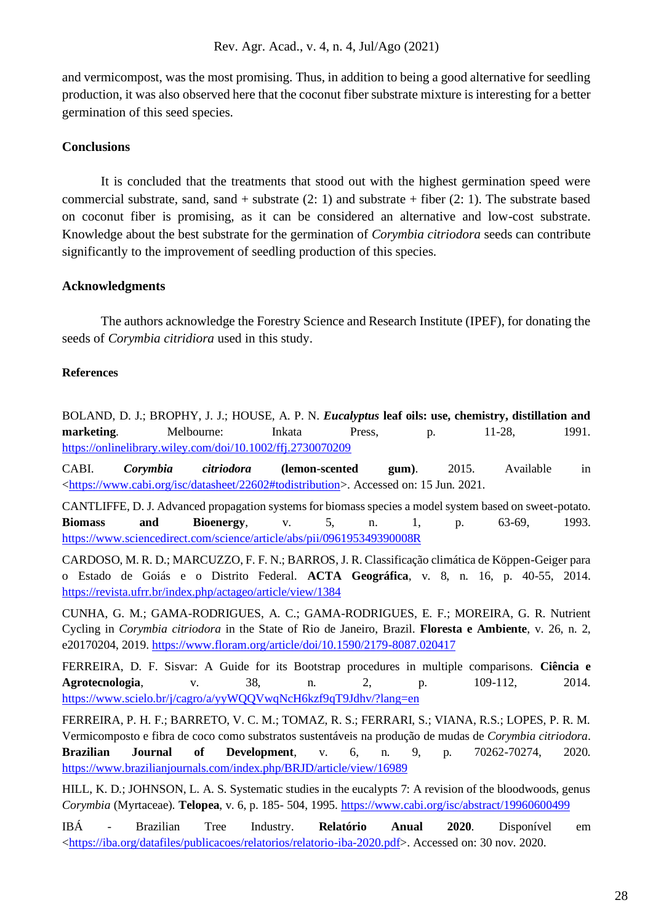and vermicompost, was the most promising. Thus, in addition to being a good alternative for seedling production, it was also observed here that the coconut fiber substrate mixture is interesting for a better germination of this seed species.

# **Conclusions**

It is concluded that the treatments that stood out with the highest germination speed were commercial substrate, sand, sand + substrate  $(2: 1)$  and substrate + fiber  $(2: 1)$ . The substrate based on coconut fiber is promising, as it can be considered an alternative and low-cost substrate. Knowledge about the best substrate for the germination of *Corymbia citriodora* seeds can contribute significantly to the improvement of seedling production of this species.

## **Acknowledgments**

The authors acknowledge the Forestry Science and Research Institute (IPEF), for donating the seeds of *Corymbia citridiora* used in this study.

## **References**

BOLAND, D. J.; BROPHY, J. J.; HOUSE, A. P. N. *Eucalyptus* **leaf oils: use, chemistry, distillation and marketing.** Melbourne: Inkata Press, p. 11-28, 1991. <https://onlinelibrary.wiley.com/doi/10.1002/ffj.2730070209>

CABI. *Corymbia citriodora* **(lemon-scented gum)**. 2015. Available in [<https://www.cabi.org/isc/datasheet/22602#todistribution>](https://www.cabi.org/isc/datasheet/22602#todistribution). Accessed on: 15 Jun. 2021.

CANTLIFFE, D. J. Advanced propagation systems for biomass species a model system based on sweet-potato. **Biomass and Bioenergy**, v. 5, n. 1, p. 63-69, 1993. <https://www.sciencedirect.com/science/article/abs/pii/096195349390008R>

CARDOSO, M. R. D.; MARCUZZO, F. F. N.; BARROS, J. R. Classificação climática de Köppen-Geiger para o Estado de Goiás e o Distrito Federal. **ACTA Geográfica**, v. 8, n. 16, p. 40-55, 2014. <https://revista.ufrr.br/index.php/actageo/article/view/1384>

CUNHA, G. M.; GAMA-RODRIGUES, A. C.; GAMA-RODRIGUES, E. F.; MOREIRA, G. R. Nutrient Cycling in *Corymbia citriodora* in the State of Rio de Janeiro, Brazil. **Floresta e Ambiente**, v. 26, n. 2, e20170204, 2019. <https://www.floram.org/article/doi/10.1590/2179-8087.020417>

FERREIRA, D. F. Sisvar: A Guide for its Bootstrap procedures in multiple comparisons. **Ciência e Agrotecnologia**, v. 38, n. 2, p. 109-112, 2014. <https://www.scielo.br/j/cagro/a/yyWQQVwqNcH6kzf9qT9Jdhv/?lang=en>

FERREIRA, P. H. F.; BARRETO, V. C. M.; TOMAZ, R. S.; FERRARI, S.; VIANA, R.S.; LOPES, P. R. M. Vermicomposto e fibra de coco como substratos sustentáveis na produção de mudas de *Corymbia citriodora*. **Brazilian Journal of Development**, v. 6, n. 9, p. 70262-70274, 2020. <https://www.brazilianjournals.com/index.php/BRJD/article/view/16989>

HILL, K. D.; JOHNSON, L. A. S. Systematic studies in the eucalypts 7: A revision of the bloodwoods, genus *Corymbia* (Myrtaceae). **Telopea**, v. 6, p. 185- 504, 1995. <https://www.cabi.org/isc/abstract/19960600499>

IBÁ - Brazilian Tree Industry. **Relatório Anual 2020**. Disponível em [<https://iba.org/datafiles/publicacoes/relatorios/relatorio-iba-2020.pdf>](https://iba.org/datafiles/publicacoes/relatorios/relatorio-iba-2020.pdf). Accessed on: 30 nov. 2020.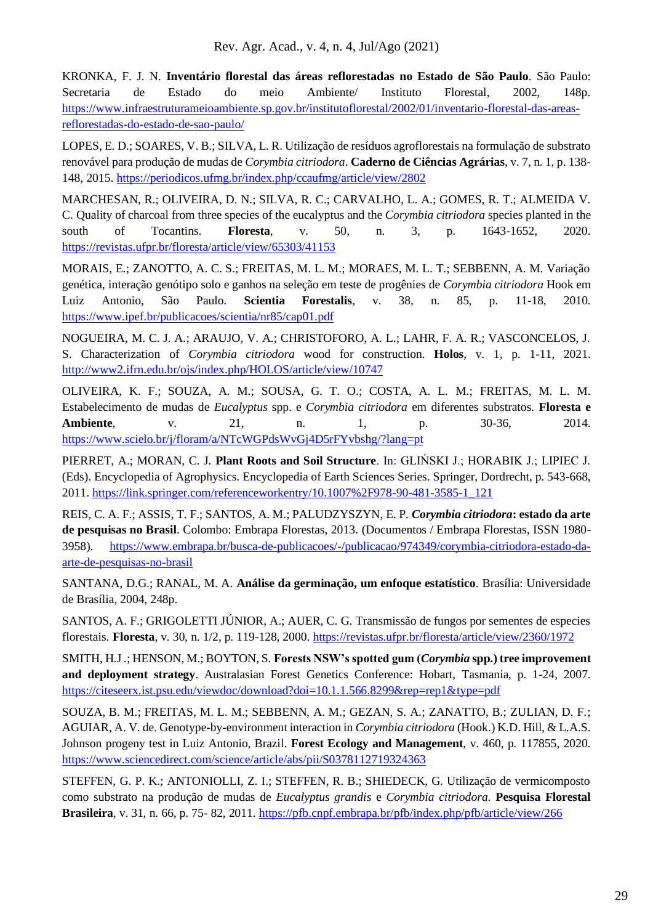KRONKA, F. J. N. **Inventário florestal das áreas reflorestadas no Estado de São Paulo**. São Paulo: Secretaria de Estado do meio Ambiente/ Instituto Florestal, 2002, 148p. [https://www.infraestruturameioambiente.sp.gov.br/institutoflorestal/2002/01/inventario-florestal-das-areas](https://www.infraestruturameioambiente.sp.gov.br/institutoflorestal/2002/01/inventario-florestal-das-areas-reflorestadas-do-estado-de-sao-paulo/)[reflorestadas-do-estado-de-sao-paulo/](https://www.infraestruturameioambiente.sp.gov.br/institutoflorestal/2002/01/inventario-florestal-das-areas-reflorestadas-do-estado-de-sao-paulo/)

LOPES, E. D.; SOARES, V. B.; SILVA, L. R. Utilização de resíduos agroflorestais na formulação de substrato renovável para produção de mudas de *Corymbia citriodora*. **Caderno de Ciências Agrárias**, v. 7, n. 1, p. 138- 148, 2015. <https://periodicos.ufmg.br/index.php/ccaufmg/article/view/2802>

MARCHESAN, R.; OLIVEIRA, D. N.; SILVA, R. C.; CARVALHO, L. A.; GOMES, R. T.; ALMEIDA V. C. Quality of charcoal from three species of the eucalyptus and the *Corymbia citriodora* species planted in the south of Tocantins. **Floresta**, v. 50, n. 3, p. 1643-1652, 2020. <https://revistas.ufpr.br/floresta/article/view/65303/41153>

MORAIS, E.; ZANOTTO, A. C. S.; FREITAS, M. L. M.; MORAES, M. L. T.; SEBBENN, A. M. Variação genética, interação genótipo solo e ganhos na seleção em teste de progênies de *Corymbia citriodora* Hook em Luiz Antonio, São Paulo. **Scientia Forestalis**, v. 38, n. 85, p. 11-18, 2010. <https://www.ipef.br/publicacoes/scientia/nr85/cap01.pdf>

NOGUEIRA, M. C. J. A.; ARAUJO, V. A.; CHRISTOFORO, A. L.; LAHR, F. A. R.; VASCONCELOS, J. S. Characterization of *Corymbia citriodora* wood for construction. **Holos**, v. 1, p. 1-11, 2021. <http://www2.ifrn.edu.br/ojs/index.php/HOLOS/article/view/10747>

OLIVEIRA, K. F.; SOUZA, A. M.; SOUSA, G. T. O.; COSTA, A. L. M.; FREITAS, M. L. M. Estabelecimento de mudas de *Eucalyptus* spp. e *Corymbia citriodora* em diferentes substratos. **Floresta e Ambiente**, v. 21, n. 1, p. 30-36, 2014. <https://www.scielo.br/j/floram/a/NTcWGPdsWvGj4D5rFYvbshg/?lang=pt>

PIERRET, A.; MORAN, C. J. **Plant Roots and Soil Structure**. In: GLIŃSKI J.; HORABIK J.; LIPIEC J. (Eds). Encyclopedia of Agrophysics. Encyclopedia of Earth Sciences Series. Springer, Dordrecht, p. 543-668, 2011. [https://link.springer.com/referenceworkentry/10.1007%2F978-90-481-3585-1\\_121](https://link.springer.com/referenceworkentry/10.1007%2F978-90-481-3585-1_121) 

REIS, C. A. F.; ASSIS, T. F.; SANTOS, A. M.; PALUDZYSZYN, E. P. *Corymbia citriodora***: estado da arte de pesquisas no Brasil**. Colombo: Embrapa Florestas, 2013. (Documentos / Embrapa Florestas, ISSN 1980- 3958). [https://www.embrapa.br/busca-de-publicacoes/-/publicacao/974349/corymbia-citriodora-estado-da](https://www.embrapa.br/busca-de-publicacoes/-/publicacao/974349/corymbia-citriodora-estado-da-arte-de-pesquisas-no-brasil)[arte-de-pesquisas-no-brasil](https://www.embrapa.br/busca-de-publicacoes/-/publicacao/974349/corymbia-citriodora-estado-da-arte-de-pesquisas-no-brasil)

SANTANA, D.G.; RANAL, M. A. **Análise da germinação, um enfoque estatístico**. Brasília: Universidade de Brasília, 2004, 248p.

SANTOS, A. F.; GRIGOLETTI JÚNIOR, A.; AUER, C. G. Transmissão de fungos por sementes de especies florestais. **Floresta**, v. 30, n. 1/2, p. 119-128, 2000. <https://revistas.ufpr.br/floresta/article/view/2360/1972>

SMITH, H.J .; HENSON, M.; BOYTON, S. **Forests NSW's spotted gum (***Corymbia* **spp.) tree improvement and deployment strategy**. Australasian Forest Genetics Conference: Hobart, Tasmania, p. 1-24, 2007. <https://citeseerx.ist.psu.edu/viewdoc/download?doi=10.1.1.566.8299&rep=rep1&type=pdf>

SOUZA, B. M.; FREITAS, M. L. M.; SEBBENN, A. M.; GEZAN, S. A.; ZANATTO, B.; ZULIAN, D. F.; AGUIAR, A. V. de. Genotype-by-environment interaction in *Corymbia citriodora* (Hook.) K.D. Hill, & L.A.S. Johnson progeny test in Luiz Antonio, Brazil. **Forest Ecology and Management**, v. 460, p. 117855, 2020. <https://www.sciencedirect.com/science/article/abs/pii/S0378112719324363>

STEFFEN, G. P. K.; ANTONIOLLI, Z. I.; STEFFEN, R. B.; SHIEDECK, G. Utilização de vermicomposto como substrato na produção de mudas de *Eucalyptus grandis* e *Corymbia citriodora*. **Pesquisa Florestal Brasileira**, v. 31, n. 66, p. 75- 82, 2011. <https://pfb.cnpf.embrapa.br/pfb/index.php/pfb/article/view/266>